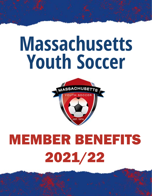# **Massachusetts Youth Soccer**



# MEMBER BENEFITS 2021/22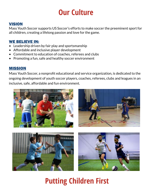### **Our Culture**

#### **VISION**

Mass Youth Soccer supports US Soccer's efforts to make soccer the preeminent sport for all children, creating a lifelong passion and love for the game.

#### WE BELIEVE IN:

- Leadership driven by fair play and sportsmanship
- Affordable and inclusive player development
- Commitment to education of coaches, referees and clubs
- Promoting a fun, safe and healthy soccer environment

#### MISSION

Mass Youth Soccer, a nonprofit educational and service organization, is dedicated to the ongoing development of youth soccer players, coaches, referees, clubs and leagues in an inclusive, safe, affordable and fun environment.



## **Putting Children First**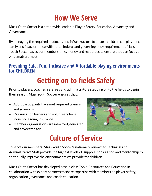### **How We Serve**

Mass Youth Soccer is a nationwide leader in Player Safety, Education, Advocacy and Governance.

By managing the required protocols and infrastructure to ensure children can play soccer safely and in accordance with state, federal and governing body requirements, Mass Youth Soccer saves our members time, money and resources to ensure they can focus on what matters most.

#### **Providing Safe, Fun, Inclusive and Affordable playing environments for CHILDREN**

# **Getting on to fields Safely**

Prior to players, coaches, referees and administrators stepping on to the fields to begin their season, Mass Youth Soccer ensures that:

- Adult participants have met required training and screening
- Organization leaders and volunteers have industry leading insurance
- Member organizations are informed, educated and advocated for.



### **Culture of Service**

To serve our members, Mass Youth Soccer's nationally renowned Technical and Administrative Staff provide the highest levels of support, consulation and mentorship to continually improve the environments we provide for children.

Mass Youth Soccer has developed best in class Tools, Resources and Education in collaboration with expert partners to share expertise with members on player safety, organization governance and coach education.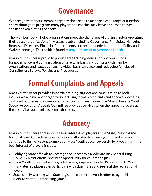### **Governance**

We recognize that our member organizations need to manage a wide range of functions and without good programs many players and coaches may leave or perhaps never consider even playing the sport.

The Member Toolkit helps organizations meet the challenges of starting and/or operating their soccer organizations in Massachusetts including Governance Principles, Managing Boards of Directors, Financial Requirements and recommended or required Policy and Waiver language. The toolkit is found at [mayouthsoccer.org/member-toolkit](http://mayouthsoccer.org/member-toolkit)

Mass Youth Soccer is proud to provide free training, education and workshops for governance and administration on a regular basis and consults with member organizations and leagues on an individual basis to review and redevelop Articles of Constitution, Bylaws, Policies and Procedures.

# **Formal Complaints and Appeals**

Mass Youth Soccer provides impartial training, support and consultation to both individuals and member organizations during formal complaints and appeals processes, a difficult but necessary component of soccer administration. The Massachusetts Youth Soccer Association Appeals Committee provides services when the appeals process at the Local / League level has been exhausted.

### **Advocacy**

Mass Youth Soccer represents the best interests of players at the State, Regional and National level. Considerable resources are allocated to ensuring our members can continue to thrive. Recent examples of Mass Youth Soccer successfully advocating in the best interest of players include.

- Lobbying State officials to recategorize Soccer to a Moderate Risk Sport during Covid-19 Restrictions, providing opportunity for children to play.
- Mass Youth Soccer retaining grade based groupings despite US Soccer Birth Year Mandates, so players can participate with classmates and peers at the recreational levels
- Successfully working with State legislature to permit youth referees aged 14 and older to continue refereeing games.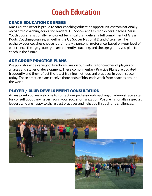### **Coach Education**

#### COACH EDUCATION COURSES

Mass Youth Soccer is proud to offer coaching education opportunities from nationally recognized coaching education leaders: US Soccer and United Soccer Coaches. Mass Youth Soccer's nationally renowned Technical Staff deliver a full compliment of Grass Roots Coaching courses, as well as the US Soccer National D and C License. The pathway your coaches choose is ultimately a personal preference, based on your level of experience, the age groups you are currently coaching, and the age groups you plan to coach in the future.

#### AGE GROUP PRACTICE PLANS

We publish a wide variety of Practice Plans on our website for coaches of players of all ages and stages of development. These complimentary Practice Plans are updated frequently and they reflect the latest training methods and practices in youth soccer today. These practice plans receive thousands of hits each week from coaches around the world!

#### PLAYER / CLUB DEVELOPMENT CONSULTATION

At any point you are welcome to contact our professional coaching or administrative staff for consult about any issues facing your soccer organization. We are nationally respected leaders who are happy to share best practices and help you through any challenges.

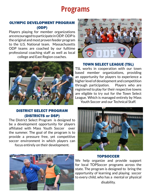### **Programs**

#### OLYMPIC DEVELOPMENT PROGRAM (ODP)

Players playing for member organizations are encouraged to participate in ODP. ODP is the original and most proven feeder program to the U.S. National team. Massachusetts ODP teams are coached by our fulltime professional coaching staff as well as local college and East Region coaches.



#### DISTRICT SELECT PROGRAM (DISTRICTS or DSP)

The District Select Program is designed to be a development opportunity for players affiliated with Mass Youth Soccer over the summer. The goal of the program is to provide a pressure free, yet competitive soccer environment in which players can focus entirely on their development.



#### TOWN SELECT LEAGUE (TSL)

TSL works in cooperation with our town based member organizations, providing an opportunity for players to experience a higher level of development and competition through participation. Players who are registered to play for their respective towns are eligible to try out for the Town Select League. Which is managed entirely by Mass Youth Soccer and our Technical Staff.



#### TOPSOCCER

We help organize and provide support for local TOPSoccer programs across the state. The program is designed to bring the opportunity of learning and playing soccer to every child, who has a mental or physical disability.

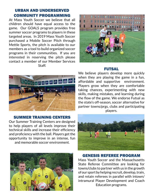#### URBAN AND UNDERSERVED COMMUNITY PROGRAMMING

At Mass Youth Soccer we believe that all children should have equal access to the game. Our GOALS program provides free summer soccer programs to players in these targeted areas. In 2019 Mass Youth Soccer purchased a Mobile Soccer Pitch through Mettle Sports, the pitch is available to our members as a tool to build organized soccer programs in their communities. If you are interested in reserving the pitch please contact a member of our Member Services Staff.



#### FUTSAL



#### SUMMER TRAINING CENTERS

Our Summer Training Centers are designed to help players of all levels improve their technical skills and increase their efficiency and proficiency with the ball. Players get the opportunity to improve in an intense, fun and memorable soccer environment.



We believe players develop more quickly when they are playing the game in a fun, affordable and supportive environment. Players grow when they are comfortable taking chances, experimenting with new skills, making mistakes, and learning during the flow of the game. We endorse Futsal as the state's off-season, soccer alternative for partner towns/prgs, clubs and participating players.



#### GENESIS REFEREE PROGRAM

Mass Youth Soccer and the Massachusetts State Referee Committee are looking for towns/clubs to partner with us in the growth of our sport by helping recruit, develop, train, and retain referees in parallel with intown/ intramural Player Development and Coach Education programs.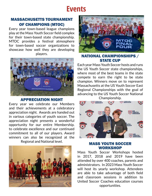### **Events**

#### MASSACHUSETTS TOURNAMENT OF CHAMPIONS (MTOC)

Every year town-based league champions play at the Mass Youth Soccer field complex for their town-based state championship. MTOC provides a festival atmosphere for town-based soccer organizations to showcase how well they are developing players.



#### APPRECIATION NIGHT

Every year we celebrate our Members and their achievements at a celebratory appreciation night. Awards are handed out in various categories of youth soccer. The appreciation night presents a wonderful opportunity for our entire Membership. to celebrate excellence and our continued commitment to all of our players. Award winners can also be recognized at the Regional and National level.





#### NATIONAL CHAMPIONSHIPS / STATE CUP

Each year Mass Youth Soccer hosts and runs the US Youth Soccer state championships, where most of the best teams in the state compete to earn the right to be state champion. Winners move on to represent Massachusetts at the US Youth Soccer East Regional Championships with the goal of advancing to the US Youth Soccer National Championship.



#### MASS YOUTH SOCCER WORKSHOP

Mass Youth Soccer Workshops hosted in 2017, 2018 and 2019 have been attended by over 400 coaches, parents and administrators. In 2023 Mass Youth Soccer will host its yearly workshop. Attendees are able to take advantage of both field and classroom sessions in addition to United Soccer Coaches education courses opportunities.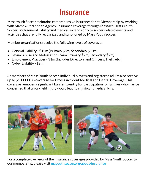### **Insurance**

Mass Youth Soccer maintains comprehensive insurance for its Membership by working with Marsh & McLennan Agency. Insurance coverage through Massachusetts Youth Soccer, both general liability and medical, extends only to soccer-related events and activities that are fully recognized and sanctioned by Mass Youth Soccer.

Member organizations receive the following levels of coverage:

- General Liability \$15m (Primary \$5m, Secondary \$10m)
- Sexual Abuse and Molestation \$4m (Primary \$2m, Secondary \$2m)
- Employment Practices \$1m (Includes Directors and Officers, Theft, etc.)
- Cyber Liability \$2m

As members of Mass Youth Soccer, individual players and registered adults also receive up to \$100, 000 in coverage for Excess Accident Medical and Dental Coverage. This coverage removes a significant barrier to entry for participation for families who may be concerned that an on-field injury would lead to significant medical bills.



For a complete overview of the insurance coverages provided by Mass Youth Soccer to our membership, please visit [mayouthsoccer.org/about/insurance](http://www.mayouthsoccer.org/about/insurance/)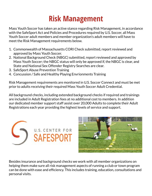## **Risk Management**

Mass Youth Soccer has taken an active stance regarding Risk Management, in accordance with the SafeSport Act and Policies and Procedures required by U.S. Soccer, all Mass Youth Soccer adult members and member organization's adult members will have to meet the Risk Management requirements below.

- 1. Commonwealth of Massachusetts CORI Check submitted, report reviewed and approved by Mass Youth Soccer.
- 2. National Background Check (NBGC) submitted, report reviewed and approved by Mass Youth Soccer; the NBGC status will only be approved if, the NBGC is clear, and State and National Sex Offender Registry Searches are clear.
- 3. SafeSport Abuse Prevention Training
- 4. Concussion / Safe and Healthy Playing Envrionments Training

Risk Management requirements are monitored in U.S. Soccer Connect and must be met prior to adults receiving their required Mass Youth Soccer Adult Credential.

All background checks, including extended background checks if required and trainings are included in Adult Registration fees at no additional cost to members. In addition our dedicated member support staff assist over 20,000 Adults to complete their Adult Registrations each year providing the highest levels of service and support.





Besides insurance and background checks we work with all member organizations on helping them make sure all risk management aspects of running a club or town program can be done with ease and efficiency. This includes training, education, consultations and personal visits.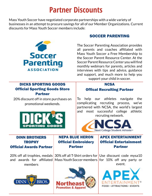### **Partner Discounts**

Mass Youth Soccer have negotiated corporate partnerships with a wide variety of businesses in an attempt to procure savings for all of our Member Organizations. Current discounts for Mass Youth Soccer members include:



#### SOCCER PARENTING

The Soccer Parenting Association provides all parents and coaches affiliated with Mass Youth Soccer a Free Membership to the Soccer Parent Resource Center. At the Soccer Parent Resource Center you will find monthly webinars for parents, articles and interviews with tips and advice, guidance and support, and much more to help you support your child in soccer.

#### DICKS SPORTING GOODS Official Sporting Goods Store Partner

20% discount off in store purchases on promotional weekends.



#### **NCSA** Offical Recruiting Partner

To help our athletes navigate the complicating recruting process, we've partnered with NCSA, the world's largest and most successful college athletic recruting network.



#### DINN BROTHERS **TROPHY** Official Awards Partner

20% off all trophies, medals and awards for affiliated members



NEPA BLUE HERON Official Embroidery Partner

30% off all T-Shirt orders for Use discount code mysa10 Mass Youth Soccer members for 10% off any party or



#### APEX ENTERTAINMENT Official Entertainment Partner

event.